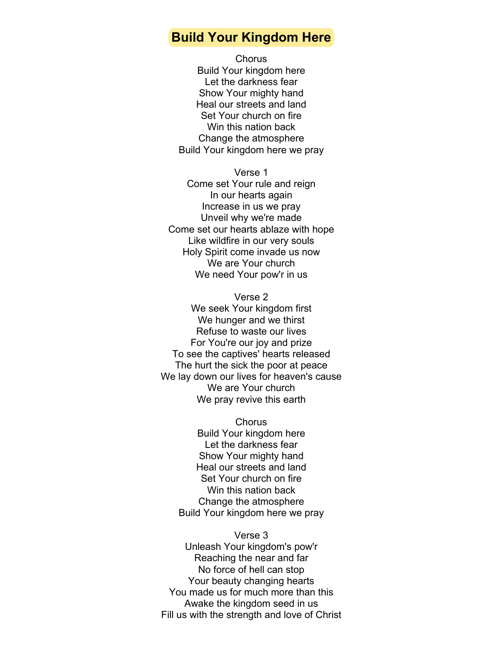# **Build Your Kingdom Here**

Chorus Build Your kingdom here Let the darkness fear Show Your mighty hand Heal our streets and land Set Your church on fire Win this nation back Change the atmosphere Build Your kingdom here we pray

Verse 1 Come set Your rule and reign In our hearts again Increase in us we pray Unveil why we're made Come set our hearts ablaze with hope Like wildfire in our very souls Holy Spirit come invade us now We are Your church We need Your pow'r in us

Verse 2 We seek Your kingdom first We hunger and we thirst Refuse to waste our lives For You're our joy and prize To see the captives' hearts released The hurt the sick the poor at peace We lay down our lives for heaven's cause We are Your church We pray revive this earth

> **Chorus** Build Your kingdom here Let the darkness fear Show Your mighty hand Heal our streets and land Set Your church on fire Win this nation back Change the atmosphere Build Your kingdom here we pray

Verse 3 Unleash Your kingdom's pow'r Reaching the near and far No force of hell can stop Your beauty changing hearts You made us for much more than this Awake the kingdom seed in us Fill us with the strength and love of Christ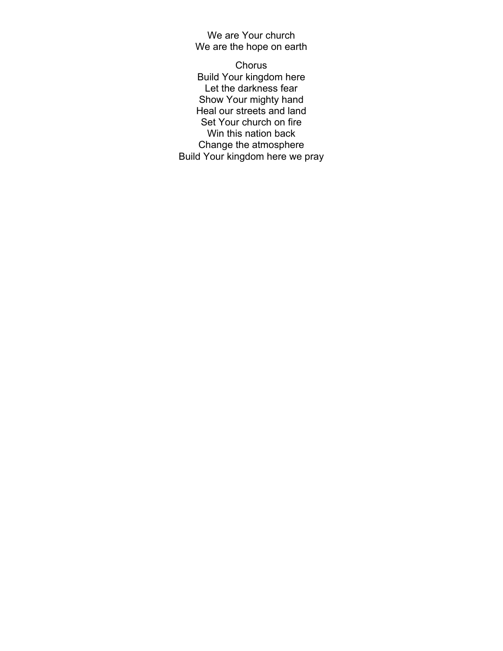We are Your church We are the hope on earth

Chorus Build Your kingdom here Let the darkness fear Show Your mighty hand Heal our streets and land Set Your church on fire Win this nation back Change the atmosphere Build Your kingdom here we pray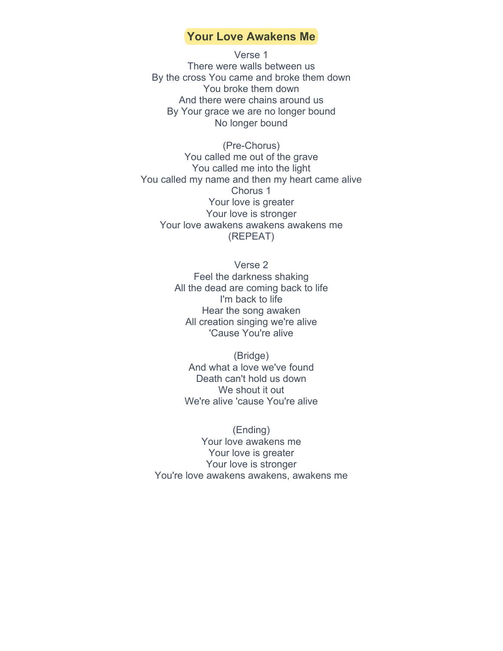## **Your Love Awakens Me**

Verse 1 There were walls between us By the cross You came and broke them down You broke them down And there were chains around us By Your grace we are no longer bound No longer bound

(Pre-Chorus) You called me out of the grave You called me into the light You called my name and then my heart came alive Chorus 1 Your love is greater Your love is stronger Your love awakens awakens awakens me (REPEAT)

> Verse 2 Feel the darkness shaking All the dead are coming back to life I'm back to life Hear the song awaken All creation singing we're alive 'Cause You're alive

(Bridge) And what a love we've found Death can't hold us down We shout it out We're alive 'cause You're alive

(Ending) Your love awakens me Your love is greater Your love is stronger You're love awakens awakens, awakens me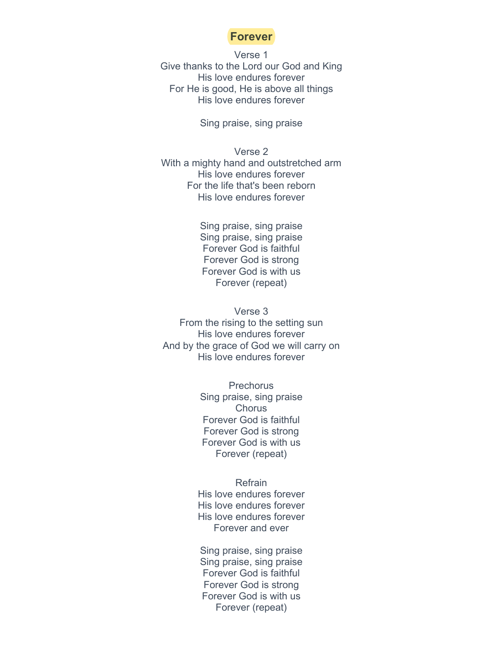### **Forever**

Verse 1 Give thanks to the Lord our God and King His love endures forever For He is good, He is above all things His love endures forever

Sing praise, sing praise

Verse 2 With a mighty hand and outstretched arm His love endures forever For the life that's been reborn His love endures forever

> Sing praise, sing praise Sing praise, sing praise Forever God is faithful Forever God is strong Forever God is with us Forever (repeat)

Verse 3 From the rising to the setting sun His love endures forever And by the grace of God we will carry on His love endures forever

> **Prechorus** Sing praise, sing praise **Chorus** Forever God is faithful Forever God is strong Forever God is with us Forever (repeat)

Refrain His love endures forever His love endures forever His love endures forever Forever and ever

Sing praise, sing praise Sing praise, sing praise Forever God is faithful Forever God is strong Forever God is with us Forever (repeat)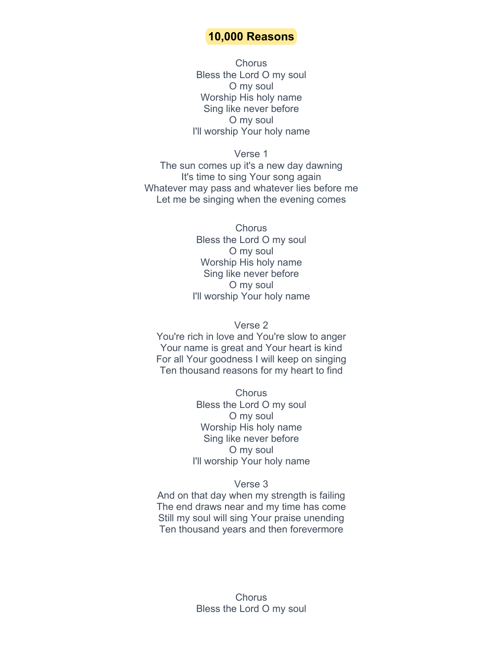## **10,000 Reasons**

Chorus Bless the Lord O my soul O my soul Worship His holy name Sing like never before O my soul I'll worship Your holy name

Verse 1 The sun comes up it's a new day dawning It's time to sing Your song again Whatever may pass and whatever lies before me Let me be singing when the evening comes

> **Chorus** Bless the Lord O my soul O my soul Worship His holy name Sing like never before O my soul I'll worship Your holy name

> > Verse 2

You're rich in love and You're slow to anger Your name is great and Your heart is kind For all Your goodness I will keep on singing Ten thousand reasons for my heart to find

> Chorus Bless the Lord O my soul O my soul Worship His holy name Sing like never before O my soul I'll worship Your holy name

#### Verse 3

And on that day when my strength is failing The end draws near and my time has come Still my soul will sing Your praise unending Ten thousand years and then forevermore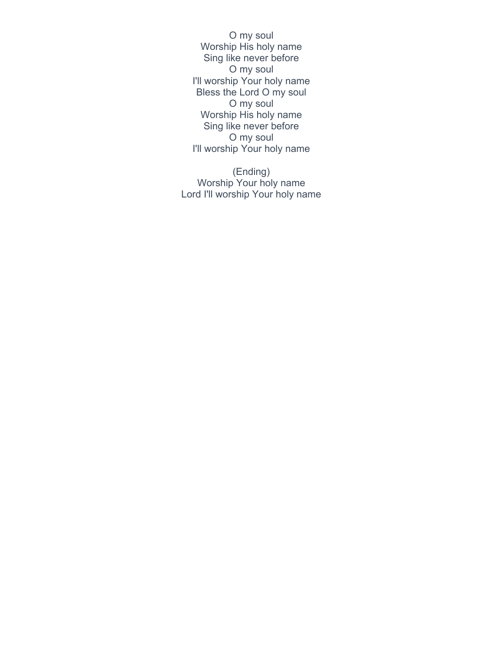O my soul Worship His holy name Sing like never before O my soul I'll worship Your holy name Bless the Lord O my soul O my soul Worship His holy name Sing like never before O my soul I'll worship Your holy name

(Ending) Worship Your holy name Lord I'll worship Your holy name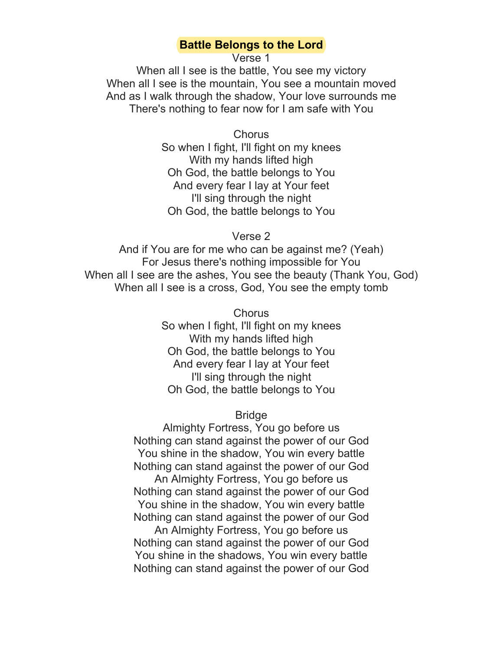## **Battle Belongs to the Lord**

Verse 1

When all I see is the battle, You see my victory When all I see is the mountain, You see a mountain moved And as I walk through the shadow, Your love surrounds me There's nothing to fear now for I am safe with You

**Chorus** 

So when I fight, I'll fight on my knees With my hands lifted high Oh God, the battle belongs to You And every fear I lay at Your feet I'll sing through the night Oh God, the battle belongs to You

Verse 2

And if You are for me who can be against me? (Yeah) For Jesus there's nothing impossible for You When all I see are the ashes, You see the beauty (Thank You, God) When all I see is a cross, God, You see the empty tomb

> **Chorus** So when I fight, I'll fight on my knees With my hands lifted high Oh God, the battlе belongs to You And every fear I lay at Your feet I'll sing through the night Oh God, the battle belongs to You

> > Bridge

Almighty Fortress, You go before us Nothing can stand against the power of our God You shine in the shadow, You win every battle Nothing can stand against the power of our God An Almighty Fortress, You go before us Nothing can stand against the power of our God You shine in the shadow, You win every battle Nothing can stand against the power of our God An Almighty Fortress, You go before us Nothing can stand against the power of our God You shine in the shadows, You win every battle Nothing can stand against the power of our God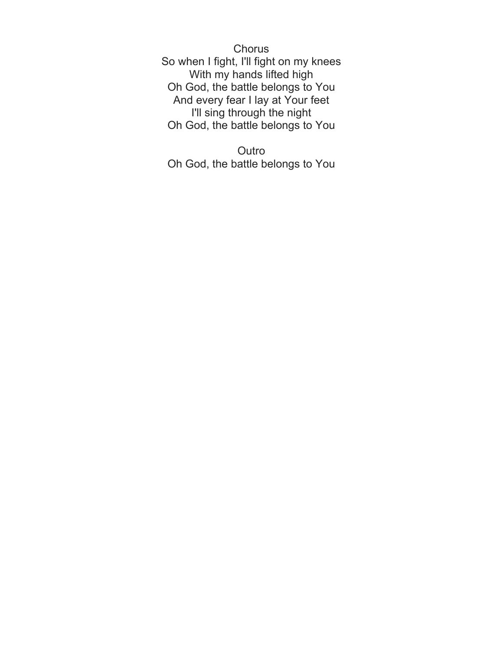**Chorus** So when I fight, I'll fight on my knees With my hands lifted high Oh God, the battle belongs to You And every fear I lay at Your feet I'll sing through the night Oh God, the battle belongs to You

**Outro** Oh God, the battle belongs to You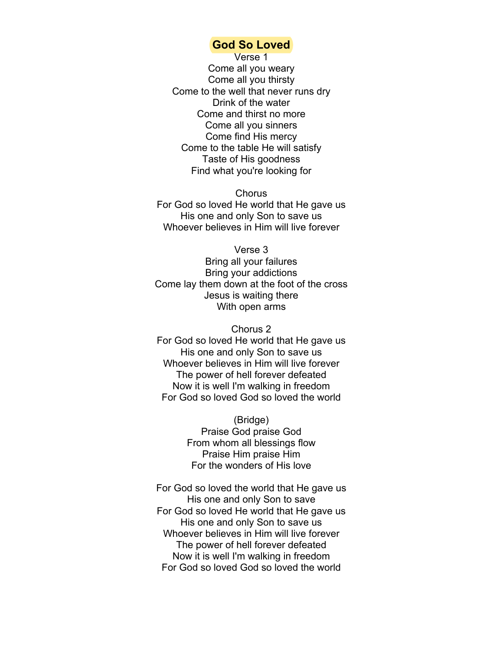## **God So Loved**

Verse 1 Come all you weary Come all you thirsty Come to the well that never runs dry Drink of the water Come and thirst no more Come all you sinners Come find His mercy Come to the table He will satisfy Taste of His goodness Find what you're looking for

**Chorus** For God so loved He world that He gave us His one and only Son to save us Whoever believes in Him will live forever

Verse 3 Bring all your failures Bring your addictions Come lay them down at the foot of the cross Jesus is waiting there With open arms

Chorus 2 For God so loved He world that He gave us His one and only Son to save us Whoever believes in Him will live forever The power of hell forever defeated Now it is well I'm walking in freedom For God so loved God so loved the world

> (Bridge) Praise God praise God From whom all blessings flow Praise Him praise Him For the wonders of His love

For God so loved the world that He gave us His one and only Son to save For God so loved He world that He gave us His one and only Son to save us Whoever believes in Him will live forever The power of hell forever defeated Now it is well I'm walking in freedom For God so loved God so loved the world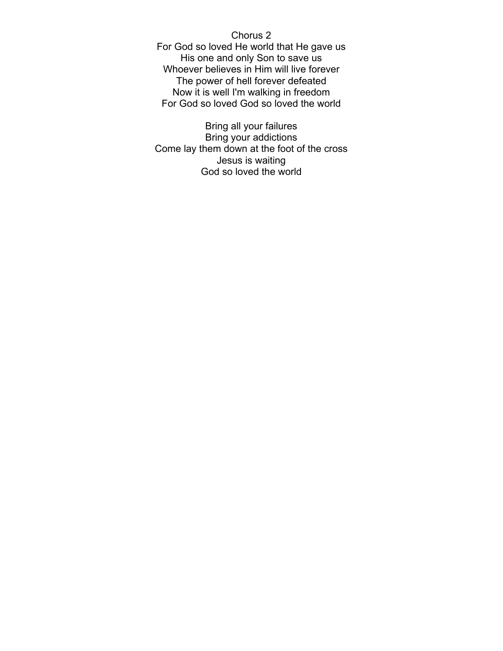### Chorus 2

For God so loved He world that He gave us His one and only Son to save us Whoever believes in Him will live forever The power of hell forever defeated Now it is well I'm walking in freedom For God so loved God so loved the world

Bring all your failures Bring your addictions Come lay them down at the foot of the cross Jesus is waiting God so loved the world